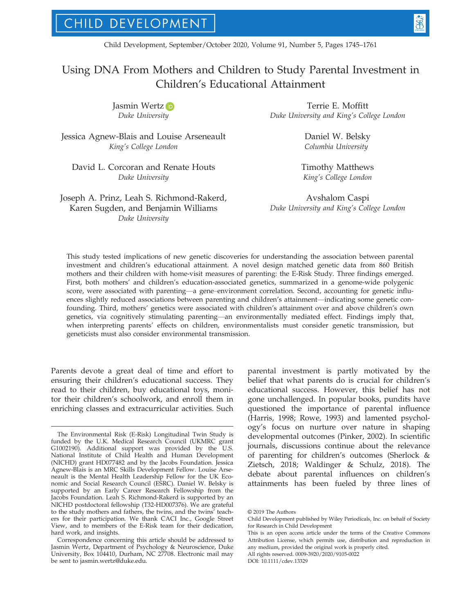CHILD DEVELOPMENT

Child Development, September/October 2020, Volume 91, Number 5, Pages 1745–1761

# Using DNA From Mothers and Children to Study Parental Investment in Children's Educational Attainment

Jasmin Wert[z](https://orcid.org/0000-0002-1332-8617) iD Duke University

Jessica Agnew-Blais and Louise Arseneault King's College London

David L. Corcoran and Renate Houts Duke University

Joseph A. Prinz, Leah S. Richmond-Rakerd, Karen Sugden, and Benjamin Williams Duke University

Terrie E. Moffitt Duke University and King's College London

> Daniel W. Belsky Columbia University

Timothy Matthews King's College London

Avshalom Caspi Duke University and King's College London

This study tested implications of new genetic discoveries for understanding the association between parental investment and children's educational attainment. A novel design matched genetic data from 860 British mothers and their children with home-visit measures of parenting: the E-Risk Study. Three findings emerged. First, both mothers' and children's education-associated genetics, summarized in a genome-wide polygenic score, were associated with parenting—a gene–environment correlation. Second, accounting for genetic influences slightly reduced associations between parenting and children's attainment—indicating some genetic confounding. Third, mothers' genetics were associated with children's attainment over and above children's own genetics, via cognitively stimulating parenting—an environmentally mediated effect. Findings imply that, when interpreting parents' effects on children, environmentalists must consider genetic transmission, but geneticists must also consider environmental transmission.

Parents devote a great deal of time and effort to ensuring their children's educational success. They read to their children, buy educational toys, monitor their children's schoolwork, and enroll them in enriching classes and extracurricular activities. Such parental investment is partly motivated by the belief that what parents do is crucial for children's educational success. However, this belief has not gone unchallenged. In popular books, pundits have questioned the importance of parental influence (Harris, 1998; Rowe, 1993) and lamented psychology's focus on nurture over nature in shaping developmental outcomes (Pinker, 2002). In scientific journals, discussions continue about the relevance of parenting for children's outcomes (Sherlock & Zietsch, 2018; Waldinger & Schulz, 2018). The debate about parental influences on children's attainments has been fueled by three lines of

All rights reserved. 0009-3920/2020/9105-0022 DOI: 10.1111/cdev.13329

The Environmental Risk (E-Risk) Longitudinal Twin Study is funded by the U.K. Medical Research Council (UKMRC grant G1002190). Additional support was provided by the U.S. National Institute of Child Health and Human Development (NICHD) grant HD077482 and by the Jacobs Foundation. Jessica Agnew-Blais is an MRC Skills Development Fellow. Louise Arseneault is the Mental Health Leadership Fellow for the UK Economic and Social Research Council (ESRC). Daniel W. Belsky is supported by an Early Career Research Fellowship from the Jacobs Foundation. Leah S. Richmond-Rakerd is supported by an NICHD postdoctoral fellowship (T32-HD007376). We are grateful to the study mothers and fathers, the twins, and the twins' teachers for their participation. We thank CACI Inc., Google Street View, and to members of the E-Risk team for their dedication, hard work, and insights.

Correspondence concerning this article should be addressed to Jasmin Wertz, Department of Psychology & Neuroscience, Duke University, Box 104410, Durham, NC 27708. Electronic mail may be sent to [jasmin.wertz@duke.edu.](mailto:)

<sup>©</sup> 2019 The Authors

Child Development published by Wiley Periodicals, Inc. on behalf of Society for Research in Child Development

This is an open access article under the terms of the [Creative Commons](http://creativecommons.org/licenses/by/4.0/) [Attribution](http://creativecommons.org/licenses/by/4.0/) License, which permits use, distribution and reproduction in any medium, provided the original work is properly cited.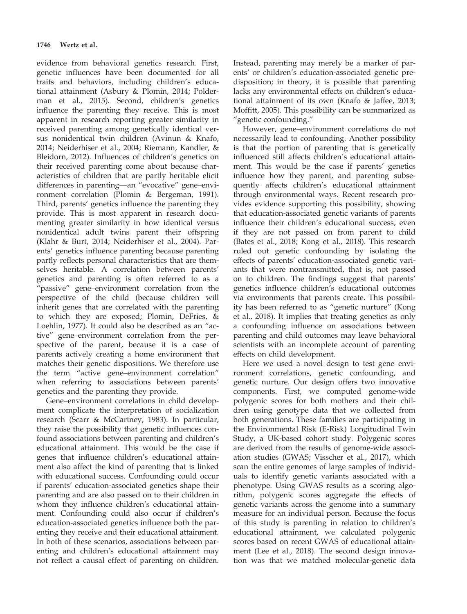evidence from behavioral genetics research. First, genetic influences have been documented for all traits and behaviors, including children's educational attainment (Asbury & Plomin, 2014; Polderman et al., 2015). Second, children's genetics influence the parenting they receive. This is most apparent in research reporting greater similarity in received parenting among genetically identical versus nonidentical twin children (Avinun & Knafo, 2014; Neiderhiser et al., 2004; Riemann, Kandler, & Bleidorn, 2012). Influences of children's genetics on their received parenting come about because characteristics of children that are partly heritable elicit differences in parenting—an "evocative" gene–environment correlation (Plomin & Bergeman, 1991). Third, parents' genetics influence the parenting they provide. This is most apparent in research documenting greater similarity in how identical versus nonidentical adult twins parent their offspring (Klahr & Burt, 2014; Neiderhiser et al., 2004). Parents' genetics influence parenting because parenting partly reflects personal characteristics that are themselves heritable. A correlation between parents' genetics and parenting is often referred to as a "passive" gene–environment correlation from the perspective of the child (because children will inherit genes that are correlated with the parenting to which they are exposed; Plomin, DeFries, & Loehlin, 1977). It could also be described as an "active" gene–environment correlation from the perspective of the parent, because it is a case of parents actively creating a home environment that matches their genetic dispositions. We therefore use the term "active gene–environment correlation" when referring to associations between parents' genetics and the parenting they provide.

Gene–environment correlations in child development complicate the interpretation of socialization research (Scarr & McCartney, 1983). In particular, they raise the possibility that genetic influences confound associations between parenting and children's educational attainment. This would be the case if genes that influence children's educational attainment also affect the kind of parenting that is linked with educational success. Confounding could occur if parents' education-associated genetics shape their parenting and are also passed on to their children in whom they influence children's educational attainment. Confounding could also occur if children's education-associated genetics influence both the parenting they receive and their educational attainment. In both of these scenarios, associations between parenting and children's educational attainment may not reflect a causal effect of parenting on children.

Instead, parenting may merely be a marker of parents' or children's education-associated genetic predisposition; in theory, it is possible that parenting lacks any environmental effects on children's educational attainment of its own (Knafo & Jaffee, 2013; Moffitt, 2005). This possibility can be summarized as "genetic confounding."

However, gene–environment correlations do not necessarily lead to confounding. Another possibility is that the portion of parenting that is genetically influenced still affects children's educational attainment. This would be the case if parents' genetics influence how they parent, and parenting subsequently affects children's educational attainment through environmental ways. Recent research provides evidence supporting this possibility, showing that education-associated genetic variants of parents influence their children's educational success, even if they are not passed on from parent to child (Bates et al., 2018; Kong et al., 2018). This research ruled out genetic confounding by isolating the effects of parents' education-associated genetic variants that were nontransmitted, that is, not passed on to children. The findings suggest that parents' genetics influence children's educational outcomes via environments that parents create. This possibility has been referred to as "genetic nurture" (Kong et al., 2018). It implies that treating genetics as only a confounding influence on associations between parenting and child outcomes may leave behavioral scientists with an incomplete account of parenting effects on child development.

Here we used a novel design to test gene–environment correlations, genetic confounding, and genetic nurture. Our design offers two innovative components. First, we computed genome-wide polygenic scores for both mothers and their children using genotype data that we collected from both generations. These families are participating in the Environmental Risk (E-Risk) Longitudinal Twin Study, a UK-based cohort study. Polygenic scores are derived from the results of genome-wide association studies (GWAS; Visscher et al., 2017), which scan the entire genomes of large samples of individuals to identify genetic variants associated with a phenotype. Using GWAS results as a scoring algorithm, polygenic scores aggregate the effects of genetic variants across the genome into a summary measure for an individual person. Because the focus of this study is parenting in relation to children's educational attainment, we calculated polygenic scores based on recent GWAS of educational attainment (Lee et al., 2018). The second design innovation was that we matched molecular-genetic data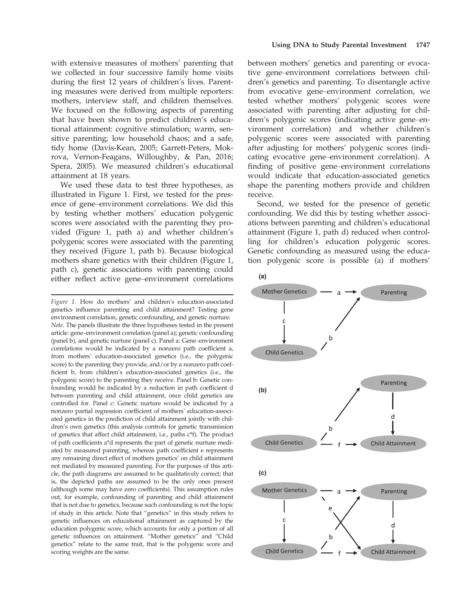with extensive measures of mothers' parenting that we collected in four successive family home visits during the first 12 years of children's lives. Parenting measures were derived from multiple reporters: mothers, interview staff, and children themselves. We focused on the following aspects of parenting that have been shown to predict children's educational attainment: cognitive stimulation; warm, sensitive parenting; low household chaos; and a safe, tidy home (Davis-Kean, 2005; Garrett-Peters, Mokrova, Vernon-Feagans, Willoughby, & Pan, 2016; Spera, 2005). We measured children's educational attainment at 18 years.

We used these data to test three hypotheses, as illustrated in Figure 1. First, we tested for the presence of gene–environment correlations. We did this by testing whether mothers' education polygenic scores were associated with the parenting they provided (Figure 1, path a) and whether children's polygenic scores were associated with the parenting they received (Figure 1, path b). Because biological mothers share genetics with their children (Figure 1, path c), genetic associations with parenting could either reflect active gene–environment correlations

between mothers' genetics and parenting or evocative gene–environment correlations between children's genetics and parenting. To disentangle active from evocative gene–environment correlation, we tested whether mothers' polygenic scores were associated with parenting after adjusting for children's polygenic scores (indicating active gene–environment correlation) and whether children's polygenic scores were associated with parenting after adjusting for mothers' polygenic scores (indicating evocative gene–environment correlation). A finding of positive gene–environment correlations would indicate that education-associated genetics shape the parenting mothers provide and children receive.

Second, we tested for the presence of genetic confounding. We did this by testing whether associations between parenting and children's educational attainment (Figure 1, path d) reduced when controlling for children's education polygenic scores. Genetic confounding as measured using the education polygenic score is possible (a) if mothers'





Figure 1. How do mothers' and children's education-associated genetics influence parenting and child attainment? Testing gene environment correlation, genetic confounding, and genetic nurture. Note. The panels illustrate the three hypotheses tested in the present article: gene–environment correlation (panel a); genetic confounding (panel b), and genetic nurture (panel c). Panel a: Gene–environment correlations would be indicated by a nonzero path coefficient a, from mothers' education-associated genetics (i.e., the polygenic score) to the parenting they provide, and/or by a nonzero path coefficient b, from children's education-associated genetics (i.e., the polygenic score) to the parenting they receive. Panel b: Genetic confounding would be indicated by a reduction in path coefficient d between parenting and child attainment, once child genetics are controlled for. Panel c: Genetic nurture would be indicated by a nonzero partial regression coefficient of mothers' education-associated genetics in the prediction of child attainment jointly with children's own genetics (this analysis controls for genetic transmission of genetics that affect child attainment, i.e., paths c\*f). The product of path coefficients a\*d represents the part of genetic nurture mediated by measured parenting, whereas path coefficient e represents any remaining direct effect of mothers genetics' on child attainment not mediated by measured parenting. For the purposes of this article, the path diagrams are assumed to be qualitatively correct; that is, the depicted paths are assumed to be the only ones present (although some may have zero coefficients). This assumption rules out, for example, confounding of parenting and child attainment that is not due to genetics, because such confounding is not the topic of study in this article. Note that "genetics" in this study refers to genetic influences on educational attainment as captured by the education polygenic score, which accounts for only a portion of all genetic influences on attainment. "Mother genetics" and "Child genetics" relate to the same trait, that is the polygenic score and scoring weights are the same.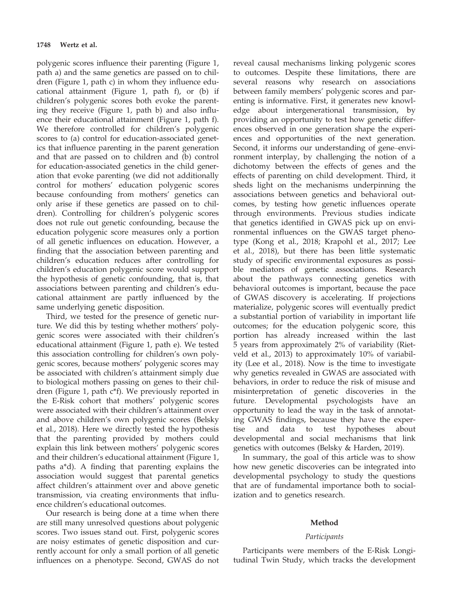polygenic scores influence their parenting (Figure 1, path a) and the same genetics are passed on to children (Figure 1, path c) in whom they influence educational attainment (Figure 1, path f), or (b) if children's polygenic scores both evoke the parenting they receive (Figure 1, path b) and also influence their educational attainment (Figure 1, path f). We therefore controlled for children's polygenic scores to (a) control for education-associated genetics that influence parenting in the parent generation and that are passed on to children and (b) control for education-associated genetics in the child generation that evoke parenting (we did not additionally control for mothers' education polygenic scores because confounding from mothers' genetics can only arise if these genetics are passed on to children). Controlling for children's polygenic scores does not rule out genetic confounding, because the education polygenic score measures only a portion of all genetic influences on education. However, a finding that the association between parenting and children's education reduces after controlling for children's education polygenic score would support the hypothesis of genetic confounding, that is, that associations between parenting and children's educational attainment are partly influenced by the same underlying genetic disposition.

Third, we tested for the presence of genetic nurture. We did this by testing whether mothers' polygenic scores were associated with their children's educational attainment (Figure 1, path e). We tested this association controlling for children's own polygenic scores, because mothers' polygenic scores may be associated with children's attainment simply due to biological mothers passing on genes to their children (Figure 1, path c\*f). We previously reported in the E-Risk cohort that mothers' polygenic scores were associated with their children's attainment over and above children's own polygenic scores (Belsky et al., 2018). Here we directly tested the hypothesis that the parenting provided by mothers could explain this link between mothers' polygenic scores and their children's educational attainment (Figure 1, paths a\*d). A finding that parenting explains the association would suggest that parental genetics affect children's attainment over and above genetic transmission, via creating environments that influence children's educational outcomes.

Our research is being done at a time when there are still many unresolved questions about polygenic scores. Two issues stand out. First, polygenic scores are noisy estimates of genetic disposition and currently account for only a small portion of all genetic influences on a phenotype. Second, GWAS do not reveal causal mechanisms linking polygenic scores to outcomes. Despite these limitations, there are several reasons why research on associations between family members' polygenic scores and parenting is informative. First, it generates new knowledge about intergenerational transmission, by providing an opportunity to test how genetic differences observed in one generation shape the experiences and opportunities of the next generation. Second, it informs our understanding of gene–environment interplay, by challenging the notion of a dichotomy between the effects of genes and the effects of parenting on child development. Third, it sheds light on the mechanisms underpinning the associations between genetics and behavioral outcomes, by testing how genetic influences operate through environments. Previous studies indicate that genetics identified in GWAS pick up on environmental influences on the GWAS target phenotype (Kong et al., 2018; Krapohl et al., 2017; Lee et al., 2018), but there has been little systematic study of specific environmental exposures as possible mediators of genetic associations. Research about the pathways connecting genetics with behavioral outcomes is important, because the pace of GWAS discovery is accelerating. If projections materialize, polygenic scores will eventually predict a substantial portion of variability in important life outcomes; for the education polygenic score, this portion has already increased within the last 5 years from approximately 2% of variability (Rietveld et al., 2013) to approximately 10% of variability (Lee et al., 2018). Now is the time to investigate why genetics revealed in GWAS are associated with behaviors, in order to reduce the risk of misuse and misinterpretation of genetic discoveries in the future. Developmental psychologists have an opportunity to lead the way in the task of annotating GWAS findings, because they have the expertise and data to test hypotheses about developmental and social mechanisms that link genetics with outcomes (Belsky & Harden, 2019).

In summary, the goal of this article was to show how new genetic discoveries can be integrated into developmental psychology to study the questions that are of fundamental importance both to socialization and to genetics research.

## Method

#### Participants

Participants were members of the E-Risk Longitudinal Twin Study, which tracks the development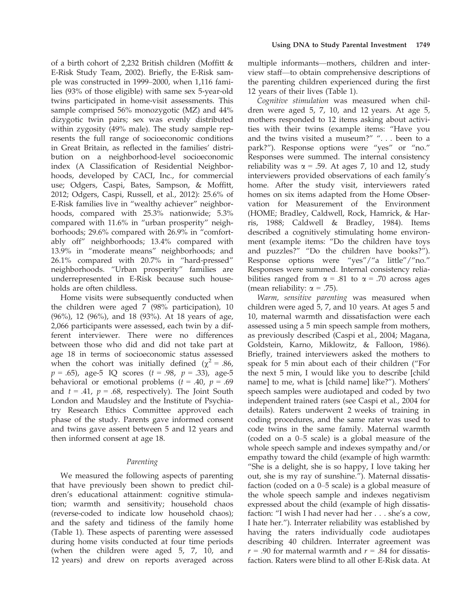of a birth cohort of 2,232 British children (Moffitt & E-Risk Study Team, 2002). Briefly, the E-Risk sample was constructed in 1999–2000, when 1,116 families (93% of those eligible) with same sex 5-year-old twins participated in home-visit assessments. This sample comprised 56% monozygotic (MZ) and 44% dizygotic twin pairs; sex was evenly distributed within zygosity (49% male). The study sample represents the full range of socioeconomic conditions in Great Britain, as reflected in the families' distribution on a neighborhood-level socioeconomic index (A Classification of Residential Neighborhoods, developed by CACI, Inc., for commercial use; Odgers, Caspi, Bates, Sampson, & Moffitt, 2012; Odgers, Caspi, Russell, et al., 2012): 25.6% of E-Risk families live in "wealthy achiever" neighborhoods, compared with 25.3% nationwide; 5.3% compared with 11.6% in "urban prosperity" neighborhoods; 29.6% compared with 26.9% in "comfortably off" neighborhoods; 13.4% compared with 13.9% in "moderate means" neighborhoods; and 26.1% compared with 20.7% in "hard-pressed" neighborhoods. "Urban prosperity" families are underrepresented in E-Risk because such households are often childless.

Home visits were subsequently conducted when the children were aged 7 (98% participation), 10 (96%), 12 (96%), and 18 (93%). At 18 years of age, 2,066 participants were assessed, each twin by a different interviewer. There were no differences between those who did and did not take part at age 18 in terms of socioeconomic status assessed when the cohort was initially defined ( $\chi^2$  = .86,  $p = .65$ ), age-5 IQ scores ( $t = .98$ ,  $p = .33$ ), age-5 behavioral or emotional problems  $(t = .40, p = .69)$ and  $t = .41$ ,  $p = .68$ , respectively). The Joint South London and Maudsley and the Institute of Psychiatry Research Ethics Committee approved each phase of the study. Parents gave informed consent and twins gave assent between 5 and 12 years and then informed consent at age 18.

## Parenting

We measured the following aspects of parenting that have previously been shown to predict children's educational attainment: cognitive stimulation; warmth and sensitivity; household chaos (reverse-coded to indicate low household chaos); and the safety and tidiness of the family home (Table 1). These aspects of parenting were assessed during home visits conducted at four time periods (when the children were aged 5, 7, 10, and 12 years) and drew on reports averaged across

multiple informants—mothers, children and interview staff—to obtain comprehensive descriptions of the parenting children experienced during the first 12 years of their lives (Table 1).

Cognitive stimulation was measured when children were aged 5, 7, 10, and 12 years. At age 5, mothers responded to 12 items asking about activities with their twins (example items: "Have you and the twins visited a museum?" ". . . been to a park?"). Response options were "yes" or "no." Responses were summed. The internal consistency reliability was  $\alpha$  = .59. At ages 7, 10 and 12, study interviewers provided observations of each family's home. After the study visit, interviewers rated homes on six items adapted from the Home Observation for Measurement of the Environment (HOME; Bradley, Caldwell, Rock, Hamrick, & Harris, 1988; Caldwell & Bradley, 1984). Items described a cognitively stimulating home environment (example items: "Do the children have toys and puzzles?" "Do the children have books?"). Response options were "yes"/"a little"/"no." Responses were summed. Internal consistency reliabilities ranged from  $\alpha = .81$  to  $\alpha = .70$  across ages (mean reliability:  $\alpha = .75$ ).

Warm, sensitive parenting was measured when children were aged 5, 7, and 10 years. At ages 5 and 10, maternal warmth and dissatisfaction were each assessed using a 5 min speech sample from mothers, as previously described (Caspi et al., 2004; Magana, Goldstein, Karno, Miklowitz, & Falloon, 1986). Briefly, trained interviewers asked the mothers to speak for 5 min about each of their children ("For the next 5 min, I would like you to describe [child name] to me, what is [child name] like?"). Mothers' speech samples were audiotaped and coded by two independent trained raters (see Caspi et al., 2004 for details). Raters underwent 2 weeks of training in coding procedures, and the same rater was used to code twins in the same family. Maternal warmth (coded on a 0–5 scale) is a global measure of the whole speech sample and indexes sympathy and/or empathy toward the child (example of high warmth: "She is a delight, she is so happy, I love taking her out, she is my ray of sunshine."). Maternal dissatisfaction (coded on a 0–5 scale) is a global measure of the whole speech sample and indexes negativism expressed about the child (example of high dissatisfaction: "I wish I had never had her . . . she's a cow, I hate her."). Interrater reliability was established by having the raters individually code audiotapes describing 40 children. Interrater agreement was  $r = .90$  for maternal warmth and  $r = .84$  for dissatisfaction. Raters were blind to all other E-Risk data. At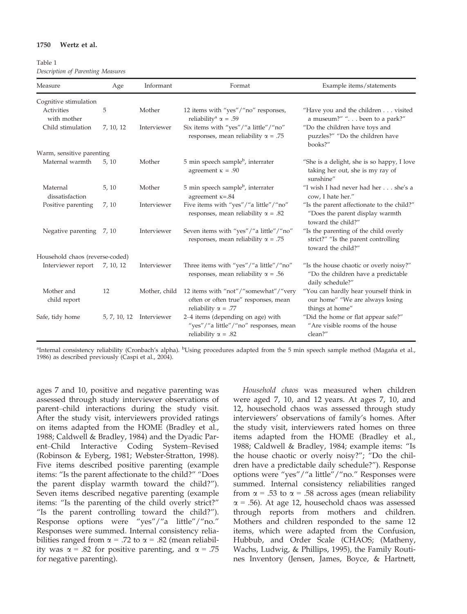#### 1750 Wertz et al.

Table 1 Description of Parenting Measures

| Measure                         | Age          | Informant     | Format                                                                                                     | Example items/statements                                                                            |  |
|---------------------------------|--------------|---------------|------------------------------------------------------------------------------------------------------------|-----------------------------------------------------------------------------------------------------|--|
| Cognitive stimulation           |              |               |                                                                                                            |                                                                                                     |  |
| Activities<br>with mother       | 5            | Mother        | 12 items with "yes"/"no" responses,<br>reliability <sup>a</sup> $\alpha$ = .59                             | "Have you and the children visited<br>a museum?" ". been to a park?"                                |  |
| Child stimulation               | 7, 10, 12    | Interviewer   | Six items with "yes"/"a little"/"no"<br>responses, mean reliability $\alpha = .75$                         | "Do the children have toys and<br>puzzles?" "Do the children have<br>books?"                        |  |
| Warm, sensitive parenting       |              |               |                                                                                                            |                                                                                                     |  |
| Maternal warmth                 | 5, 10        | Mother        | 5 min speech sample <sup>b</sup> , interrater<br>agreement $\kappa = .90$                                  | "She is a delight, she is so happy, I love<br>taking her out, she is my ray of<br>sunshine"         |  |
| Maternal<br>dissatisfaction     | 5, 10        | Mother        | 5 min speech sample <sup>b</sup> , interrater<br>agreement $\kappa = .84$                                  | "I wish I had never had her she's a<br>cow, I hate her."                                            |  |
| Positive parenting              | 7, 10        | Interviewer   | Five items with "yes"/"a little"/"no"<br>responses, mean reliability $\alpha = .82$                        | "Is the parent affectionate to the child?"<br>"Does the parent display warmth<br>toward the child?" |  |
| Negative parenting 7, 10        |              | Interviewer   | Seven items with "yes"/"a little"/"no"<br>responses, mean reliability $\alpha = .75$                       | "Is the parenting of the child overly<br>strict?" "Is the parent controlling<br>toward the child?"  |  |
| Household chaos (reverse-coded) |              |               |                                                                                                            |                                                                                                     |  |
| Interviewer report              | 7, 10, 12    | Interviewer   | Three items with "yes"/"a little"/"no"<br>responses, mean reliability $\alpha = .56$                       | "Is the house chaotic or overly noisy?"<br>"Do the children have a predictable<br>daily schedule?"  |  |
| Mother and<br>child report      | 12           | Mother, child | 12 items with "not"/"somewhat"/"very<br>often or often true" responses, mean<br>reliability $\alpha = .77$ | "You can hardly hear yourself think in<br>our home" "We are always losing<br>things at home"        |  |
| Safe, tidy home                 | 5, 7, 10, 12 | Interviewer   | 2-4 items (depending on age) with<br>"yes"/"a little"/"no" responses, mean<br>reliability $\alpha = .82$   | "Did the home or flat appear safe?"<br>"Are visible rooms of the house<br>clean?"                   |  |

<sup>a</sup>Internal consistency reliability (Cronbach's alpha). <sup>b</sup>Using procedures adapted from the 5 min speech sample method (Magaña et al., 1986) as described previously (Caspi et al., 2004).

ages 7 and 10, positive and negative parenting was assessed through study interviewer observations of parent–child interactions during the study visit. After the study visit, interviewers provided ratings on items adapted from the HOME (Bradley et al., 1988; Caldwell & Bradley, 1984) and the Dyadic Parent–Child Interactive Coding System–Revised (Robinson & Eyberg, 1981; Webster-Stratton, 1998). Five items described positive parenting (example items: "Is the parent affectionate to the child?" "Does the parent display warmth toward the child?"). Seven items described negative parenting (example items: "Is the parenting of the child overly strict?" "Is the parent controlling toward the child?"). Response options were "yes"/"a little"/"no." Responses were summed. Internal consistency reliabilities ranged from  $\alpha$  = .72 to  $\alpha$  = .82 (mean reliability was  $\alpha = .82$  for positive parenting, and  $\alpha = .75$ for negative parenting).

Household chaos was measured when children were aged 7, 10, and 12 years. At ages 7, 10, and 12, housechold chaos was assessed through study interviewers' observations of family's homes. After the study visit, interviewers rated homes on three items adapted from the HOME (Bradley et al., 1988; Caldwell & Bradley, 1984; example items: "Is the house chaotic or overly noisy?"; "Do the children have a predictable daily schedule?"). Response options were "yes"/"a little"/"no." Responses were summed. Internal consistency reliabilities ranged from  $\alpha$  = .53 to  $\alpha$  = .58 across ages (mean reliability  $\alpha$  = .56). At age 12, housechold chaos was assessed through reports from mothers and children. Mothers and children responded to the same 12 items, which were adapted from the Confusion, Hubbub, and Order Scale (CHAOS; (Matheny, Wachs, Ludwig, & Phillips, 1995), the Family Routines Inventory (Jensen, James, Boyce, & Hartnett,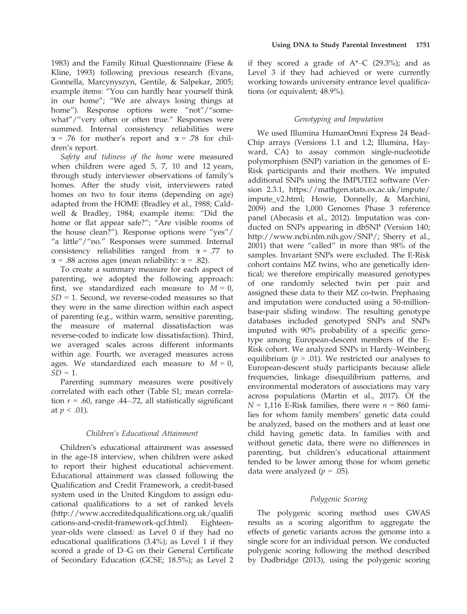1983) and the Family Ritual Ouestionnaire (Fiese  $&$ Kline, 1993) following previous research (Evans, Gonnella, Marcynyszyn, Gentile, & Salpekar, 2005; example items: "You can hardly hear yourself think in our home"; "We are always losing things at home"). Response options were "not"/"somewhat"/"very often or often true." Responses were summed. Internal consistency reliabilities were  $\alpha = .76$  for mother's report and  $\alpha = .78$  for children's report.

Safety and tidiness of the home were measured when children were aged 5, 7, 10 and 12 years, through study interviewer observations of family's homes. After the study visit, interviewers rated homes on two to four items (depending on age) adapted from the HOME (Bradley et al., 1988; Caldwell & Bradley, 1984; example items: "Did the home or flat appear safe?"; "Are visible rooms of the house clean?"). Response options were "yes"/ "a little"/"no." Responses were summed. Internal consistency reliabilities ranged from  $\alpha = .77$  to  $\alpha$  = .88 across ages (mean reliability:  $\alpha$  = .82).

To create a summary measure for each aspect of parenting, we adopted the following approach: first, we standardized each measure to  $M = 0$ ,  $SD = 1$ . Second, we reverse-coded measures so that they were in the same direction within each aspect of parenting (e.g., within warm, sensitive parenting, the measure of maternal dissatisfaction was reverse-coded to indicate low dissatisfaction). Third, we averaged scales across different informants within age. Fourth, we averaged measures across ages. We standardized each measure to  $M = 0$ ,  $SD = 1$ .

Parenting summary measures were positively correlated with each other (Table S1; mean correlation  $r = .60$ , range .44–.72, all statistically significant at  $p < .01$ ).

## Children's Educational Attainment

Children's educational attainment was assessed in the age-18 interview, when children were asked to report their highest educational achievement. Educational attainment was classed following the Qualification and Credit Framework, a credit-based system used in the United Kingdom to assign educational qualifications to a set of ranked levels [\(http://www.accreditedqualifications.org.uk/qualifi](http://www.accreditedqualifications.org.uk/qualifications-and-credit-framework-qcf.html) [cations-and-credit-framework-qcf.html](http://www.accreditedqualifications.org.uk/qualifications-and-credit-framework-qcf.html)). Eighteenyear-olds were classed: as Level 0 if they had no educational qualifications (3.4%); as Level 1 if they scored a grade of D–G on their General Certificate of Secondary Education (GCSE; 18.5%); as Level 2

if they scored a grade of  $A^*-C$  (29.3%); and as Level 3 if they had achieved or were currently working towards university entrance level qualifications (or equivalent; 48.9%).

# Genotyping and Imputation

We used Illumina HumanOmni Express 24 Bead-Chip arrays (Versions 1.1 and 1.2; Illumina, Hayward, CA) to assay common single-nucleotide polymorphism (SNP) variation in the genomes of E-Risk participants and their mothers. We imputed additional SNPs using the IMPUTE2 software (Version 2.3.1, [https://mathgen.stats.ox.ac.uk/impute/](https://mathgen.stats.ox.ac.uk/impute/impute_v2.html) [impute\\_v2.html;](https://mathgen.stats.ox.ac.uk/impute/impute_v2.html) Howie, Donnelly, & Marchini, 2009) and the 1,000 Genomes Phase 3 reference panel (Abecasis et al., 2012). Imputation was conducted on SNPs appearing in dbSNP (Version 140; <http://www.ncbi.nlm.nih.gov/SNP/>; Sherry et al., 2001) that were "called" in more than 98% of the samples. Invariant SNPs were excluded. The E-Risk cohort contains MZ twins, who are genetically identical; we therefore empirically measured genotypes of one randomly selected twin per pair and assigned these data to their MZ co-twin. Prephasing and imputation were conducted using a 50-millionbase-pair sliding window. The resulting genotype databases included genotyped SNPs and SNPs imputed with 90% probability of a specific genotype among European-descent members of the E-Risk cohort. We analyzed SNPs in Hardy–Weinberg equilibrium ( $p > .01$ ). We restricted our analyses to European-descent study participants because allele frequencies, linkage disequilibrium patterns, and environmental moderators of associations may vary across populations (Martin et al., 2017). Of the  $N = 1,116$  E-Risk families, there were  $n = 860$  families for whom family members' genetic data could be analyzed, based on the mothers and at least one child having genetic data. In families with and without genetic data, there were no differences in parenting, but children's educational attainment tended to be lower among those for whom genetic data were analyzed ( $p = .05$ ).

## Polygenic Scoring

The polygenic scoring method uses GWAS results as a scoring algorithm to aggregate the effects of genetic variants across the genome into a single score for an individual person. We conducted polygenic scoring following the method described by Dudbridge (2013), using the polygenic scoring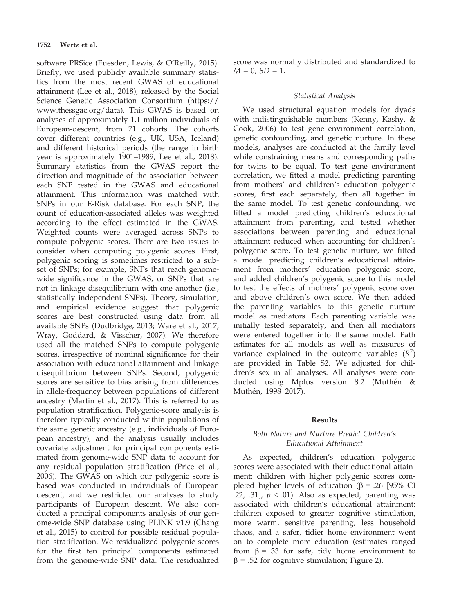software PRSice (Euesden, Lewis, & O'Reilly, 2015). Briefly, we used publicly available summary statistics from the most recent GWAS of educational attainment (Lee et al., 2018), released by the Social Science Genetic Association Consortium [\(https://](https://www.thessgac.org/data) [www.thessgac.org/data\)](https://www.thessgac.org/data). This GWAS is based on analyses of approximately 1.1 million individuals of European-descent, from 71 cohorts. The cohorts cover different countries (e.g., UK, USA, Iceland) and different historical periods (the range in birth year is approximately 1901–1989, Lee et al., 2018). Summary statistics from the GWAS report the direction and magnitude of the association between each SNP tested in the GWAS and educational attainment. This information was matched with SNPs in our E-Risk database. For each SNP, the count of education-associated alleles was weighted according to the effect estimated in the GWAS. Weighted counts were averaged across SNPs to compute polygenic scores. There are two issues to consider when computing polygenic scores. First, polygenic scoring is sometimes restricted to a subset of SNPs; for example, SNPs that reach genomewide significance in the GWAS, or SNPs that are not in linkage disequilibrium with one another (i.e., statistically independent SNPs). Theory, simulation, and empirical evidence suggest that polygenic scores are best constructed using data from all available SNPs (Dudbridge, 2013; Ware et al., 2017; Wray, Goddard, & Visscher, 2007). We therefore used all the matched SNPs to compute polygenic scores, irrespective of nominal significance for their association with educational attainment and linkage disequilibrium between SNPs. Second, polygenic scores are sensitive to bias arising from differences in allele-frequency between populations of different ancestry (Martin et al., 2017). This is referred to as population stratification. Polygenic-score analysis is therefore typically conducted within populations of the same genetic ancestry (e.g., individuals of European ancestry), and the analysis usually includes covariate adjustment for principal components estimated from genome-wide SNP data to account for any residual population stratification (Price et al., 2006). The GWAS on which our polygenic score is based was conducted in individuals of European descent, and we restricted our analyses to study participants of European descent. We also conducted a principal components analysis of our genome-wide SNP database using PLINK v1.9 (Chang et al., 2015) to control for possible residual population stratification. We residualized polygenic scores for the first ten principal components estimated from the genome-wide SNP data. The residualized

score was normally distributed and standardized to  $M = 0$ ,  $SD = 1$ .

#### Statistical Analysis

We used structural equation models for dyads with indistinguishable members (Kenny, Kashy, & Cook, 2006) to test gene–environment correlation, genetic confounding, and genetic nurture. In these models, analyses are conducted at the family level while constraining means and corresponding paths for twins to be equal. To test gene–environment correlation, we fitted a model predicting parenting from mothers' and children's education polygenic scores, first each separately, then all together in the same model. To test genetic confounding, we fitted a model predicting children's educational attainment from parenting, and tested whether associations between parenting and educational attainment reduced when accounting for children's polygenic score. To test genetic nurture, we fitted a model predicting children's educational attainment from mothers' education polygenic score, and added children's polygenic score to this model to test the effects of mothers' polygenic score over and above children's own score. We then added the parenting variables to this genetic nurture model as mediators. Each parenting variable was initially tested separately, and then all mediators were entered together into the same model. Path estimates for all models as well as measures of variance explained in the outcome variables  $(R^2)$ are provided in Table S2. We adjusted for children's sex in all analyses. All analyses were conducted using Mplus version 8.2 (Muthén & Muthén, 1998–2017).

#### Results

# Both Nature and Nurture Predict Children's Educational Attainment

As expected, children's education polygenic scores were associated with their educational attainment: children with higher polygenic scores completed higher levels of education ( $\beta$  = .26 [95% CI .22, .31],  $p < .01$ ). Also as expected, parenting was associated with children's educational attainment: children exposed to greater cognitive stimulation, more warm, sensitive parenting, less household chaos, and a safer, tidier home environment went on to complete more education (estimates ranged from  $\beta$  = .33 for safe, tidy home environment to  $\beta$  = .52 for cognitive stimulation; Figure 2).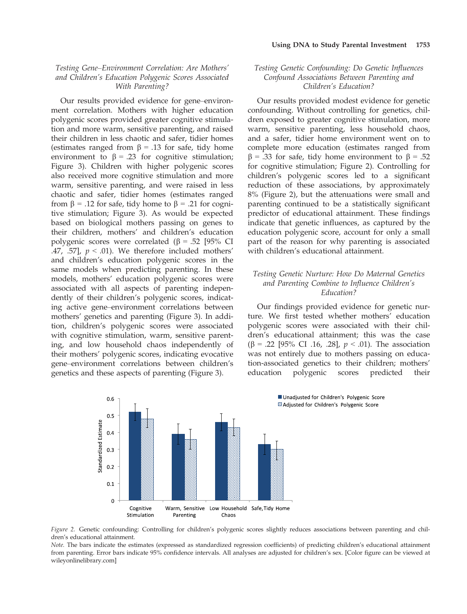# Testing Gene–Environment Correlation: Are Mothers' and Children's Education Polygenic Scores Associated With Parenting?

Our results provided evidence for gene–environment correlation. Mothers with higher education polygenic scores provided greater cognitive stimulation and more warm, sensitive parenting, and raised their children in less chaotic and safer, tidier homes (estimates ranged from  $\beta$  = .13 for safe, tidy home environment to  $\beta$  = .23 for cognitive stimulation; Figure 3). Children with higher polygenic scores also received more cognitive stimulation and more warm, sensitive parenting, and were raised in less chaotic and safer, tidier homes (estimates ranged from  $\beta$  = .12 for safe, tidy home to  $\beta$  = .21 for cognitive stimulation; Figure 3). As would be expected based on biological mothers passing on genes to their children, mothers' and children's education polygenic scores were correlated ( $\beta$  = .52 [95% CI .47, .57],  $p < .01$ ). We therefore included mothers' and children's education polygenic scores in the same models when predicting parenting. In these models, mothers' education polygenic scores were associated with all aspects of parenting independently of their children's polygenic scores, indicating active gene–environment correlations between mothers' genetics and parenting (Figure 3). In addition, children's polygenic scores were associated with cognitive stimulation, warm, sensitive parenting, and low household chaos independently of their mothers' polygenic scores, indicating evocative gene–environment correlations between children's genetics and these aspects of parenting (Figure 3).

 $0.6$ 

# Testing Genetic Confounding: Do Genetic Influences Confound Associations Between Parenting and Children's Education?

Our results provided modest evidence for genetic confounding. Without controlling for genetics, children exposed to greater cognitive stimulation, more warm, sensitive parenting, less household chaos, and a safer, tidier home environment went on to complete more education (estimates ranged from  $\beta$  = .33 for safe, tidy home environment to  $\beta$  = .52 for cognitive stimulation; Figure 2). Controlling for children's polygenic scores led to a significant reduction of these associations, by approximately 8% (Figure 2), but the attenuations were small and parenting continued to be a statistically significant predictor of educational attainment. These findings indicate that genetic influences, as captured by the education polygenic score, account for only a small part of the reason for why parenting is associated with children's educational attainment.

# Testing Genetic Nurture: How Do Maternal Genetics and Parenting Combine to Influence Children's Education?

Our findings provided evidence for genetic nurture. We first tested whether mothers' education polygenic scores were associated with their children's educational attainment; this was the case ( $\beta$  = .22 [95% CI .16, .28],  $p < .01$ ). The association was not entirely due to mothers passing on education-associated genetics to their children; mothers' education polygenic scores predicted their





Figure 2. Genetic confounding: Controlling for children's polygenic scores slightly reduces associations between parenting and children's educational attainment.

Note. The bars indicate the estimates (expressed as standardized regression coefficients) of predicting children's educational attainment from parenting. Error bars indicate 95% confidence intervals. All analyses are adjusted for children's sex. [Color figure can be viewed at [wileyonlinelibrary.com](www.wileyonlinelibrary.com)]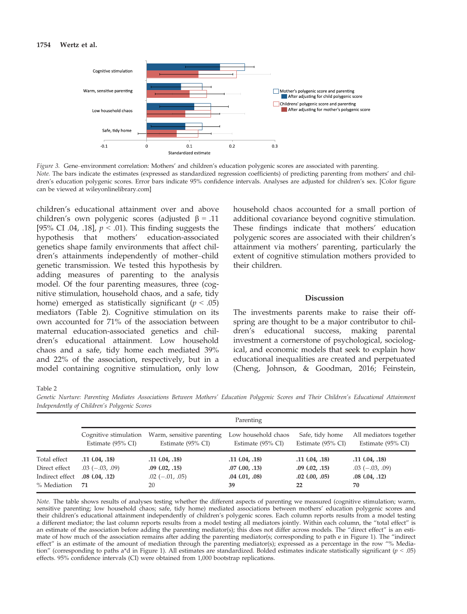

Figure 3. Gene–environment correlation: Mothers' and children's education polygenic scores are associated with parenting. Note. The bars indicate the estimates (expressed as standardized regression coefficients) of predicting parenting from mothers' and children's education polygenic scores. Error bars indicate 95% confidence intervals. Analyses are adjusted for children's sex. [Color figure can be viewed at [wileyonlinelibrary.com](www.wileyonlinelibrary.com)]

children's educational attainment over and above children's own polygenic scores (adjusted  $\beta = .11$ [95% CI .04, .18],  $p < .01$ ). This finding suggests the hypothesis that mothers' education-associated genetics shape family environments that affect children's attainments independently of mother–child genetic transmission. We tested this hypothesis by adding measures of parenting to the analysis model. Of the four parenting measures, three (cognitive stimulation, household chaos, and a safe, tidy home) emerged as statistically significant ( $p < .05$ ) mediators (Table 2). Cognitive stimulation on its own accounted for 71% of the association between maternal education-associated genetics and children's educational attainment. Low household chaos and a safe, tidy home each mediated 39% and 22% of the association, respectively, but in a model containing cognitive stimulation, only low

household chaos accounted for a small portion of additional covariance beyond cognitive stimulation. These findings indicate that mothers' education polygenic scores are associated with their children's attainment via mothers' parenting, particularly the extent of cognitive stimulation mothers provided to their children.

#### Discussion

The investments parents make to raise their offspring are thought to be a major contributor to children's educational success, making parental investment a cornerstone of psychological, sociological, and economic models that seek to explain how educational inequalities are created and perpetuated (Cheng, Johnson, & Goodman, 2016; Feinstein,

Table 2

Genetic Nurture: Parenting Mediates Associations Between Mothers' Education Polygenic Scores and Their Children's Educational Attainment Independently of Children's Polygenic Scores

|                 | Parenting             |                           |                     |                    |                        |  |  |  |
|-----------------|-----------------------|---------------------------|---------------------|--------------------|------------------------|--|--|--|
|                 | Cognitive stimulation | Warm, sensitive parenting | Low household chaos | Safe, tidy home    | All mediators together |  |  |  |
|                 | Estimate (95% CI)     | Estimate (95% CI)         | Estimate (95% CI)   | Estimate (95% CI)  | Estimate (95% CI)      |  |  |  |
| Total effect    | $.11 \; (.04, .18)$   | $.11$ $(.04, .18)$        | $.11$ $(.04, .18)$  | $.11$ $(.04, .18)$ | $.11$ $(.04, .18)$     |  |  |  |
| Direct effect   | $.03(-.03, .09)$      | $.09$ $(.02, .15)$        | $.07$ $(.00, .13)$  | $.09$ $(.02, .15)$ | $.03(-.03, .09)$       |  |  |  |
| Indirect effect | $.08$ $(.04, .12)$    | $.02 (-.01, .05)$         | $.04$ $(.01, .08)$  | $.02$ $(.00, .05)$ | $.08$ $(.04, .12)$     |  |  |  |
| % Mediation     | 71                    | 20                        | 39                  | 22                 | 70                     |  |  |  |

Note. The table shows results of analyses testing whether the different aspects of parenting we measured (cognitive stimulation; warm, sensitive parenting; low household chaos; safe, tidy home) mediated associations between mothers' education polygenic scores and their children's educational attainment independently of children's polygenic scores. Each column reports results from a model testing a different mediator; the last column reports results from a model testing all mediators jointly. Within each column, the "total effect" is an estimate of the association before adding the parenting mediator(s); this does not differ across models. The "direct effect" is an estimate of how much of the association remains after adding the parenting mediator(s; corresponding to path e in Figure 1). The "indirect effect" is an estimate of the amount of mediation through the parenting mediator(s); expressed as a percentage in the row "% Mediation" (corresponding to paths a\*d in Figure 1). All estimates are standardized. Bolded estimates indicate statistically significant ( $p < .05$ ) effects. 95% confidence intervals (CI) were obtained from 1,000 bootstrap replications.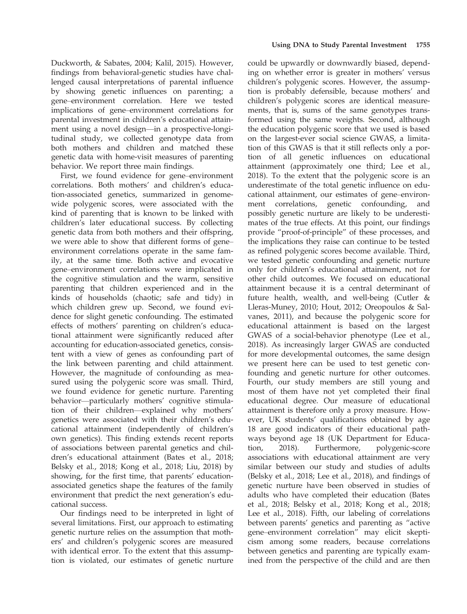Duckworth, & Sabates, 2004; Kalil, 2015). However, findings from behavioral-genetic studies have challenged causal interpretations of parental influence by showing genetic influences on parenting; a gene–environment correlation. Here we tested implications of gene–environment correlations for parental investment in children's educational attainment using a novel design—in a prospective-longitudinal study, we collected genotype data from both mothers and children and matched these genetic data with home-visit measures of parenting behavior. We report three main findings.

First, we found evidence for gene–environment correlations. Both mothers' and children's education-associated genetics, summarized in genomewide polygenic scores, were associated with the kind of parenting that is known to be linked with children's later educational success. By collecting genetic data from both mothers and their offspring, we were able to show that different forms of gene– environment correlations operate in the same family, at the same time. Both active and evocative gene–environment correlations were implicated in the cognitive stimulation and the warm, sensitive parenting that children experienced and in the kinds of households (chaotic; safe and tidy) in which children grew up. Second, we found evidence for slight genetic confounding. The estimated effects of mothers' parenting on children's educational attainment were significantly reduced after accounting for education-associated genetics, consistent with a view of genes as confounding part of the link between parenting and child attainment. However, the magnitude of confounding as measured using the polygenic score was small. Third, we found evidence for genetic nurture. Parenting behavior—particularly mothers' cognitive stimulation of their children—explained why mothers' genetics were associated with their children's educational attainment (independently of children's own genetics). This finding extends recent reports of associations between parental genetics and children's educational attainment (Bates et al., 2018; Belsky et al., 2018; Kong et al., 2018; Liu, 2018) by showing, for the first time, that parents' educationassociated genetics shape the features of the family environment that predict the next generation's educational success.

Our findings need to be interpreted in light of several limitations. First, our approach to estimating genetic nurture relies on the assumption that mothers' and children's polygenic scores are measured with identical error. To the extent that this assumption is violated, our estimates of genetic nurture

could be upwardly or downwardly biased, depending on whether error is greater in mothers' versus children's polygenic scores. However, the assumption is probably defensible, because mothers' and children's polygenic scores are identical measurements, that is, sums of the same genotypes transformed using the same weights. Second, although the education polygenic score that we used is based on the largest-ever social science GWAS, a limitation of this GWAS is that it still reflects only a portion of all genetic influences on educational attainment (approximately one third; Lee et al., 2018). To the extent that the polygenic score is an underestimate of the total genetic influence on educational attainment, our estimates of gene–environment correlations, genetic confounding, and possibly genetic nurture are likely to be underestimates of the true effects. At this point, our findings provide "proof-of-principle" of these processes, and the implications they raise can continue to be tested as refined polygenic scores become available. Third, we tested genetic confounding and genetic nurture only for children's educational attainment, not for other child outcomes. We focused on educational attainment because it is a central determinant of future health, wealth, and well-being (Cutler & Lleras-Muney, 2010; Hout, 2012; Oreopoulos & Salvanes, 2011), and because the polygenic score for educational attainment is based on the largest GWAS of a social-behavior phenotype (Lee et al., 2018). As increasingly larger GWAS are conducted for more developmental outcomes, the same design we present here can be used to test genetic confounding and genetic nurture for other outcomes. Fourth, our study members are still young and most of them have not yet completed their final educational degree. Our measure of educational attainment is therefore only a proxy measure. However, UK students' qualifications obtained by age 18 are good indicators of their educational pathways beyond age 18 (UK Department for Education, 2018). Furthermore, polygenic-score associations with educational attainment are very similar between our study and studies of adults (Belsky et al., 2018; Lee et al., 2018), and findings of genetic nurture have been observed in studies of adults who have completed their education (Bates et al., 2018; Belsky et al., 2018; Kong et al., 2018; Lee et al., 2018). Fifth, our labeling of correlations between parents' genetics and parenting as "active gene–environment correlation" may elicit skepticism among some readers, because correlations between genetics and parenting are typically examined from the perspective of the child and are then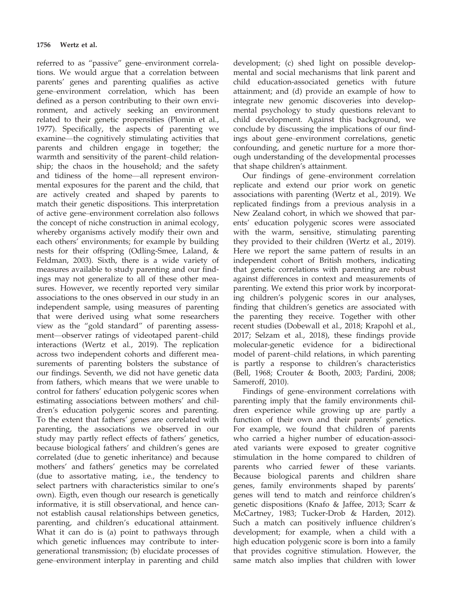referred to as "passive" gene–environment correlations. We would argue that a correlation between parents' genes and parenting qualifies as active gene–environment correlation, which has been defined as a person contributing to their own environment, and actively seeking an environment related to their genetic propensities (Plomin et al., 1977). Specifically, the aspects of parenting we examine—the cognitively stimulating activities that parents and children engage in together; the warmth and sensitivity of the parent–child relationship; the chaos in the household; and the safety and tidiness of the home—all represent environmental exposures for the parent and the child, that are actively created and shaped by parents to match their genetic dispositions. This interpretation of active gene–environment correlation also follows the concept of niche construction in animal ecology, whereby organisms actively modify their own and each others' environments; for example by building nests for their offspring (Odling-Smee, Laland, & Feldman, 2003). Sixth, there is a wide variety of measures available to study parenting and our findings may not generalize to all of these other measures. However, we recently reported very similar associations to the ones observed in our study in an independent sample, using measures of parenting that were derived using what some researchers view as the "gold standard" of parenting assessment—observer ratings of videotaped parent–child interactions (Wertz et al., 2019). The replication across two independent cohorts and different measurements of parenting bolsters the substance of our findings. Seventh, we did not have genetic data from fathers, which means that we were unable to control for fathers' education polygenic scores when estimating associations between mothers' and children's education polygenic scores and parenting. To the extent that fathers' genes are correlated with parenting, the associations we observed in our study may partly reflect effects of fathers' genetics, because biological fathers' and children's genes are correlated (due to genetic inheritance) and because mothers' and fathers' genetics may be correlated (due to assortative mating, i.e., the tendency to select partners with characteristics similar to one's own). Eigth, even though our research is genetically informative, it is still observational, and hence cannot establish causal relationships between genetics, parenting, and children's educational attainment. What it can do is (a) point to pathways through which genetic influences may contribute to intergenerational transmission; (b) elucidate processes of gene–environment interplay in parenting and child

development; (c) shed light on possible developmental and social mechanisms that link parent and child education-associated genetics with future attainment; and (d) provide an example of how to integrate new genomic discoveries into developmental psychology to study questions relevant to child development. Against this background, we conclude by discussing the implications of our findings about gene–environment correlations, genetic confounding, and genetic nurture for a more thorough understanding of the developmental processes that shape children's attainment.

Our findings of gene–environment correlation replicate and extend our prior work on genetic associations with parenting (Wertz et al., 2019). We replicated findings from a previous analysis in a New Zealand cohort, in which we showed that parents' education polygenic scores were associated with the warm, sensitive, stimulating parenting they provided to their children (Wertz et al., 2019). Here we report the same pattern of results in an independent cohort of British mothers, indicating that genetic correlations with parenting are robust against differences in context and measurements of parenting. We extend this prior work by incorporating children's polygenic scores in our analyses, finding that children's genetics are associated with the parenting they receive. Together with other recent studies (Dobewall et al., 2018; Krapohl et al., 2017; Selzam et al., 2018), these findings provide molecular-genetic evidence for a bidirectional model of parent–child relations, in which parenting is partly a response to children's characteristics (Bell, 1968; Crouter & Booth, 2003; Pardini, 2008; Sameroff, 2010).

Findings of gene–environment correlations with parenting imply that the family environments children experience while growing up are partly a function of their own and their parents' genetics. For example, we found that children of parents who carried a higher number of education-associated variants were exposed to greater cognitive stimulation in the home compared to children of parents who carried fewer of these variants. Because biological parents and children share genes, family environments shaped by parents' genes will tend to match and reinforce children's genetic dispositions (Knafo & Jaffee, 2013; Scarr & McCartney, 1983; Tucker-Drob & Harden, 2012). Such a match can positively influence children's development; for example, when a child with a high education polygenic score is born into a family that provides cognitive stimulation. However, the same match also implies that children with lower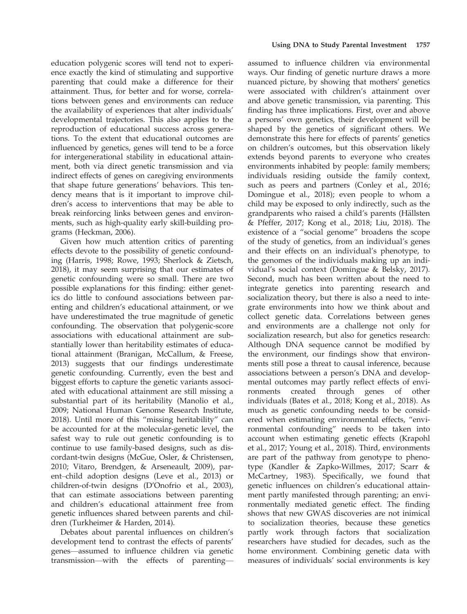education polygenic scores will tend not to experience exactly the kind of stimulating and supportive parenting that could make a difference for their attainment. Thus, for better and for worse, correlations between genes and environments can reduce the availability of experiences that alter individuals' developmental trajectories. This also applies to the reproduction of educational success across generations. To the extent that educational outcomes are influenced by genetics, genes will tend to be a force for intergenerational stability in educational attainment, both via direct genetic transmission and via indirect effects of genes on caregiving environments that shape future generations' behaviors. This tendency means that is it important to improve children's access to interventions that may be able to break reinforcing links between genes and environments, such as high-quality early skill-building programs (Heckman, 2006).

Given how much attention critics of parenting effects devote to the possibility of genetic confounding (Harris, 1998; Rowe, 1993; Sherlock & Zietsch, 2018), it may seem surprising that our estimates of genetic confounding were so small. There are two possible explanations for this finding: either genetics do little to confound associations between parenting and children's educational attainment, or we have underestimated the true magnitude of genetic confounding. The observation that polygenic-score associations with educational attainment are substantially lower than heritability estimates of educational attainment (Branigan, McCallum, & Freese, 2013) suggests that our findings underestimate genetic confounding. Currently, even the best and biggest efforts to capture the genetic variants associated with educational attainment are still missing a substantial part of its heritability (Manolio et al., 2009; National Human Genome Research Institute, 2018). Until more of this "missing heritability" can be accounted for at the molecular-genetic level, the safest way to rule out genetic confounding is to continue to use family-based designs, such as discordant-twin designs (McGue, Osler, & Christensen, 2010; Vitaro, Brendgen, & Arseneault, 2009), parent–child adoption designs (Leve et al., 2013) or children-of-twin designs (D'Onofrio et al., 2003), that can estimate associations between parenting and children's educational attainment free from genetic influences shared between parents and children (Turkheimer & Harden, 2014).

Debates about parental influences on children's development tend to contrast the effects of parents' genes—assumed to influence children via genetic transmission—with the effects of parentingassumed to influence children via environmental ways. Our finding of genetic nurture draws a more nuanced picture, by showing that mothers' genetics were associated with children's attainment over and above genetic transmission, via parenting. This finding has three implications. First, over and above a persons' own genetics, their development will be shaped by the genetics of significant others. We demonstrate this here for effects of parents' genetics on children's outcomes, but this observation likely extends beyond parents to everyone who creates environments inhabited by people: family members; individuals residing outside the family context, such as peers and partners (Conley et al., 2016; Domingue et al., 2018); even people to whom a child may be exposed to only indirectly, such as the grandparents who raised a child's parents (Hällsten & Pfeffer, 2017; Kong et al., 2018; Liu, 2018). The existence of a "social genome" broadens the scope of the study of genetics, from an individual's genes and their effects on an individual's phenotype, to the genomes of the individuals making up an individual's social context (Domingue & Belsky, 2017). Second, much has been written about the need to integrate genetics into parenting research and socialization theory, but there is also a need to integrate environments into how we think about and collect genetic data. Correlations between genes and environments are a challenge not only for socialization research, but also for genetics research: Although DNA sequence cannot be modified by the environment, our findings show that environments still pose a threat to causal inference, because associations between a person's DNA and developmental outcomes may partly reflect effects of environments created through genes of other individuals (Bates et al., 2018; Kong et al., 2018). As much as genetic confounding needs to be considered when estimating environmental effects, "environmental confounding" needs to be taken into account when estimating genetic effects (Krapohl et al., 2017; Young et al., 2018). Third, environments are part of the pathway from genotype to phenotype (Kandler & Zapko-Willmes, 2017; Scarr & McCartney, 1983). Specifically, we found that genetic influences on children's educational attainment partly manifested through parenting; an environmentally mediated genetic effect. The finding shows that new GWAS discoveries are not inimical to socialization theories, because these genetics partly work through factors that socialization researchers have studied for decades, such as the home environment. Combining genetic data with measures of individuals' social environments is key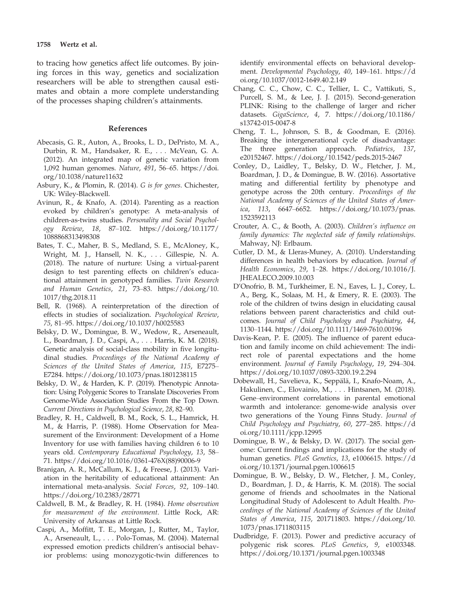to tracing how genetics affect life outcomes. By joining forces in this way, genetics and socialization researchers will be able to strengthen causal estimates and obtain a more complete understanding of the processes shaping children's attainments.

#### References

- Abecasis, G. R., Auton, A., Brooks, L. D., DePristo, M. A., Durbin, R. M., Handsaker, R. E., . . . McVean, G. A. (2012). An integrated map of genetic variation from 1,092 human genomes. Nature, 491, 56–65. [https://doi.](https://doi.org/10.1038/nature11632) [org/10.1038/nature11632](https://doi.org/10.1038/nature11632)
- Asbury, K., & Plomin, R. (2014). G is for genes. Chichester, UK: Wiley-Blackwell.
- Avinun, R., & Knafo, A. (2014). Parenting as a reaction evoked by children's genotype: A meta-analysis of children-as-twins studies. Personality and Social Psychology Review, 18, 87–102. [https://doi.org/10.1177/](https://doi.org/10.1177/1088868313498308) [1088868313498308](https://doi.org/10.1177/1088868313498308)
- Bates, T. C., Maher, B. S., Medland, S. E., McAloney, K., Wright, M. J., Hansell, N. K., . . . Gillespie, N. A. (2018). The nature of nurture: Using a virtual-parent design to test parenting effects on children's educational attainment in genotyped families. Twin Research and Human Genetics, 21, 73–83. [https://doi.org/10.](https://doi.org/10.1017/thg.2018.11) [1017/thg.2018.11](https://doi.org/10.1017/thg.2018.11)
- Bell, R. (1968). A reinterpretation of the direction of effects in studies of socialization. Psychological Review, 75, 81–95.<https://doi.org/10.1037/h0025583>
- Belsky, D. W., Domingue, B. W., Wedow, R., Arseneault, L., Boardman, J. D., Caspi, A., . . . Harris, K. M. (2018). Genetic analysis of social-class mobility in five longitudinal studies. Proceedings of the National Academy of Sciences of the United States of America, 115, E7275– E7284.<https://doi.org/10.1073/pnas.1801238115>
- Belsky, D. W., & Harden, K. P. (2019). Phenotypic Annotation: Using Polygenic Scores to Translate Discoveries From Genome-Wide Association Studies From the Top Down. Current Directions in Psychological Science, 28, 82–90.
- Bradley, R. H., Caldwell, B. M., Rock, S. L., Hamrick, H. M., & Harris, P. (1988). Home Observation for Measurement of the Environment: Development of a Home Inventory for use with families having children 6 to 10 years old. Contemporary Educational Psychology, 13, 58– 71. [https://doi.org/10.1016/0361-476X\(88\)90006-9](https://doi.org/10.1016/0361-476X(88)90006-9)
- Branigan, A. R., McCallum, K. J., & Freese, J. (2013). Variation in the heritability of educational attainment: An international meta-analysis. Social Forces, 92, 109–140. <https://doi.org/10.2383/28771>
- Caldwell, B. M., & Bradley, R. H. (1984). Home observation for measurement of the environment. Little Rock, AR: University of Arkansas at Little Rock.
- Caspi, A., Moffitt, T. E., Morgan, J., Rutter, M., Taylor, A., Arseneault, L., . . . Polo-Tomas, M. (2004). Maternal expressed emotion predicts children's antisocial behavior problems: using monozygotic-twin differences to

identify environmental effects on behavioral development. Developmental Psychology, 40, 149–161. [https://d](https://doi.org/10.1037/0012-1649.40.2.149) [oi.org/10.1037/0012-1649.40.2.149](https://doi.org/10.1037/0012-1649.40.2.149)

- Chang, C. C., Chow, C. C., Tellier, L. C., Vattikuti, S., Purcell, S. M., & Lee, J. J. (2015). Second-generation PLINK: Rising to the challenge of larger and richer datasets. GigaScience, 4, 7. [https://doi.org/10.1186/](https://doi.org/10.1186/s13742-015-0047-8) [s13742-015-0047-8](https://doi.org/10.1186/s13742-015-0047-8)
- Cheng, T. L., Johnson, S. B., & Goodman, E. (2016). Breaking the intergenerational cycle of disadvantage: The three generation approach. Pediatrics, 137, e20152467.<https://doi.org/10.1542/peds.2015-2467>
- Conley, D., Laidley, T., Belsky, D. W., Fletcher, J. M., Boardman, J. D., & Domingue, B. W. (2016). Assortative mating and differential fertility by phenotype and genotype across the 20th century. Proceedings of the National Academy of Sciences of the United States of America, 113, 6647–6652. [https://doi.org/10.1073/pnas.](https://doi.org/10.1073/pnas.1523592113) [1523592113](https://doi.org/10.1073/pnas.1523592113)
- Crouter, A. C., & Booth, A. (2003). Children's influence on family dynamics: The neglected side of family relationships. Mahway, NJ: Erlbaum.
- Cutler, D. M., & Lleras-Muney, A. (2010). Understanding differences in health behaviors by education. Journal of Health Economics, 29, 1–28. [https://doi.org/10.1016/J.](https://doi.org/10.1016/J.JHEALECO.2009.10.003) [JHEALECO.2009.10.003](https://doi.org/10.1016/J.JHEALECO.2009.10.003)
- D'Onofrio, B. M., Turkheimer, E. N., Eaves, L. J., Corey, L. A., Berg, K., Solaas, M. H., & Emery, R. E. (2003). The role of the children of twins design in elucidating causal relations between parent characteristics and child outcomes. Journal of Child Psychology and Psychiatry, 44, 1130–1144.<https://doi.org/10.1111/1469-7610.00196>
- Davis-Kean, P. E. (2005). The influence of parent education and family income on child achievement: The indirect role of parental expectations and the home environment. Journal of Family Psychology, 19, 294–304. <https://doi.org/10.1037/0893-3200.19.2.294>
- Dobewall, H., Savelieva, K., Seppälä, I., Knafo-Noam, A., Hakulinen, C., Elovainio, M., . . . Hintsanen, M. (2018). Gene–environment correlations in parental emotional warmth and intolerance: genome-wide analysis over two generations of the Young Finns Study. Journal of Child Psychology and Psychiatry, 60, 277–285. [https://d](https://doi.org/10.1111/jcpp.12995) [oi.org/10.1111/jcpp.12995](https://doi.org/10.1111/jcpp.12995)
- Domingue, B. W., & Belsky, D. W. (2017). The social genome: Current findings and implications for the study of human genetics. PLoS Genetics, 13, e1006615. [https://d](https://doi.org/10.1371/journal.pgen.1006615) [oi.org/10.1371/journal.pgen.1006615](https://doi.org/10.1371/journal.pgen.1006615)
- Domingue, B. W., Belsky, D. W., Fletcher, J. M., Conley, D., Boardman, J. D., & Harris, K. M. (2018). The social genome of friends and schoolmates in the National Longitudinal Study of Adolescent to Adult Health. Proceedings of the National Academy of Sciences of the United States of America, 115, 201711803. [https://doi.org/10.](https://doi.org/10.1073/pnas.1711803115) [1073/pnas.1711803115](https://doi.org/10.1073/pnas.1711803115)
- Dudbridge, F. (2013). Power and predictive accuracy of polygenic risk scores. PLoS Genetics, 9, e1003348. <https://doi.org/10.1371/journal.pgen.1003348>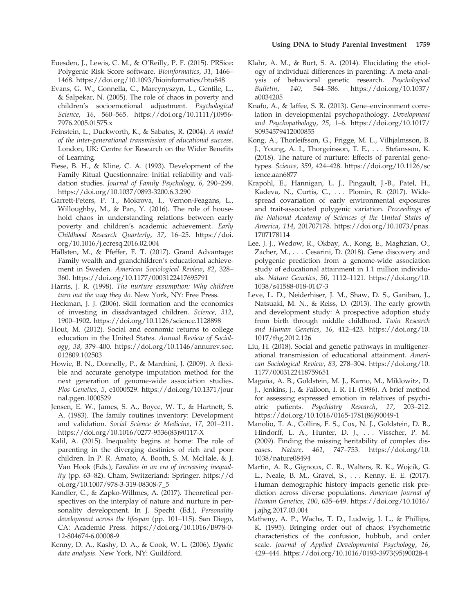- Euesden, J., Lewis, C. M., & O'Reilly, P. F. (2015). PRSice: Polygenic Risk Score software. Bioinformatics, 31, 1466– 1468.<https://doi.org/10.1093/bioinformatics/btu848>
- Evans, G. W., Gonnella, C., Marcynyszyn, L., Gentile, L., & Salpekar, N. (2005). The role of chaos in poverty and children's socioemotional adjustment. Psychological Science, 16, 560–565. [https://doi.org/10.1111/j.0956-](https://doi.org/10.1111/j.0956-7976.2005.01575.x) [7976.2005.01575.x](https://doi.org/10.1111/j.0956-7976.2005.01575.x)
- Feinstein, L., Duckworth, K., & Sabates, R. (2004). A model of the inter-generational transmission of educational success. London, UK: Centre for Research on the Wider Benefits of Learning.
- Fiese, B. H., & Kline, C. A. (1993). Development of the Family Ritual Questionnaire: Initial reliability and validation studies. Journal of Family Psychology, 6, 290–299. <https://doi.org/10.1037/0893-3200.6.3.290>
- Garrett-Peters, P. T., Mokrova, I., Vernon-Feagans, L., Willoughby, M., & Pan, Y. (2016). The role of household chaos in understanding relations between early poverty and children's academic achievement. Early Childhood Research Quarterly, 37, 16–25. [https://doi.](https://doi.org/10.1016/j.ecresq.2016.02.004) [org/10.1016/j.ecresq.2016.02.004](https://doi.org/10.1016/j.ecresq.2016.02.004)
- Hällsten, M., & Pfeffer, F. T. (2017). Grand Advantage: Family wealth and grandchildren's educational achievement in Sweden. American Sociological Review, 82, 328– 360.<https://doi.org/10.1177/0003122417695791>
- Harris, J. R. (1998). The nurture assumption: Why children turn out the way they do. New York, NY: Free Press.
- Heckman, J. J. (2006). Skill formation and the economics of investing in disadvantaged children. Science, 312, 1900–1902.<https://doi.org/10.1126/science.1128898>
- Hout, M. (2012). Social and economic returns to college education in the United States. Annual Review of Sociology, 38, 379–400. [https://doi.org/10.1146/annurev.soc.](https://doi.org/10.1146/annurev.soc.012809.102503) [012809.102503](https://doi.org/10.1146/annurev.soc.012809.102503)
- Howie, B. N., Donnelly, P., & Marchini, J. (2009). A flexible and accurate genotype imputation method for the next generation of genome-wide association studies. Plos Genetics, 5, e1000529. [https://doi.org/10.1371/jour](https://doi.org/10.1371/journal.pgen.1000529) [nal.pgen.1000529](https://doi.org/10.1371/journal.pgen.1000529)
- Jensen, E. W., James, S. A., Boyce, W. T., & Hartnett, S. A. (1983). The family routines inventory: Development and validation. Social Science & Medicine, 17, 201–211. [https://doi.org/10.1016/0277-9536\(83\)90117-X](https://doi.org/10.1016/0277-9536(83)90117-X)
- Kalil, A. (2015). Inequality begins at home: The role of parenting in the diverging destinies of rich and poor children. In P. R. Amato, A. Booth, S. M. McHale, & J. Van Hook (Eds.), Families in an era of increasing inequality (pp. 63–82). Cham, Switzerland: Springer. [https://d](https://doi.org/10.1007/978-3-319-08308-7_5) [oi.org/10.1007/978-3-319-08308-7\\_5](https://doi.org/10.1007/978-3-319-08308-7_5)
- Kandler, C., & Zapko-Willmes, A. (2017). Theoretical perspectives on the interplay of nature and nurture in personality development. In J. Specht (Ed.), Personality development across the lifespan (pp. 101–115). San Diego, CA: Academic Press. [https://doi.org/10.1016/B978-0-](https://doi.org/10.1016/B978-0-12-804674-6.00008-9) [12-804674-6.00008-9](https://doi.org/10.1016/B978-0-12-804674-6.00008-9)
- Kenny, D. A., Kashy, D. A., & Cook, W. L. (2006). Dyadic data analysis. New York, NY: Guildford.
- Klahr, A. M., & Burt, S. A. (2014). Elucidating the etiology of individual differences in parenting: A meta-analysis of behavioral genetic research. Psychological Bulletin, 140, 544-586. https://doi.org/10.1037/ Bulletin, 140, 544–586. [https://doi.org/10.1037/](https://doi.org/10.1037/a0034205) [a0034205](https://doi.org/10.1037/a0034205)
- Knafo, A., & Jaffee, S. R. (2013). Gene–environment correlation in developmental psychopathology. Development and Psychopathology, 25, 1–6. [https://doi.org/10.1017/](https://doi.org/10.1017/S0954579412000855) [S0954579412000855](https://doi.org/10.1017/S0954579412000855)
- Kong, A., Thorleifsson, G., Frigge, M. L., Vilhjalmsson, B. J., Young, A. I., Thorgeirsson, T. E., . . . Stefansson, K. (2018). The nature of nurture: Effects of parental genotypes. Science, 359, 424–428. [https://doi.org/10.1126/sc](https://doi.org/10.1126/science.aan6877) [ience.aan6877](https://doi.org/10.1126/science.aan6877)
- Krapohl, E., Hannigan, L. J., Pingault, J.-B., Patel, H., Kadeva, N., Curtis, C., . . . Plomin, R. (2017). Widespread covariation of early environmental exposures and trait-associated polygenic variation. Proceedings of the National Academy of Sciences of the United States of America, 114, 201707178. [https://doi.org/10.1073/pnas.](https://doi.org/10.1073/pnas.1707178114) [1707178114](https://doi.org/10.1073/pnas.1707178114)
- Lee, J. J., Wedow, R., Okbay, A., Kong, E., Maghzian, O., Zacher, M., . . . Cesarini, D. (2018). Gene discovery and polygenic prediction from a genome-wide association study of educational attainment in 1.1 million individuals. Nature Genetics, 50, 1112–1121. [https://doi.org/10.](https://doi.org/10.1038/s41588-018-0147-3) [1038/s41588-018-0147-3](https://doi.org/10.1038/s41588-018-0147-3)
- Leve, L. D., Neiderhiser, J. M., Shaw, D. S., Ganiban, J., Natsuaki, M. N., & Reiss, D. (2013). The early growth and development study: A prospective adoption study from birth through middle childhood. Twin Research and Human Genetics, 16, 412–423. [https://doi.org/10.](https://doi.org/10.1017/thg.2012.126) [1017/thg.2012.126](https://doi.org/10.1017/thg.2012.126)
- Liu, H. (2018). Social and genetic pathways in multigenerational transmission of educational attainment. American Sociological Review, 83, 278–304. [https://doi.org/10.](https://doi.org/10.1177/0003122418759651) [1177/0003122418759651](https://doi.org/10.1177/0003122418759651)
- Magana, A. B., Goldstein, M. J., Karno, M., Miklowitz, D. ~ J., Jenkins, J., & Falloon, I. R. H. (1986). A brief method for assessing expressed emotion in relatives of psychiatric patients. Psychiatry Research, 17, 203–212. [https://doi.org/10.1016/0165-1781\(86\)90049-1](https://doi.org/10.1016/0165-1781(86)90049-1)
- Manolio, T. A., Collins, F. S., Cox, N. J., Goldstein, D. B., Hindorff, L. A., Hunter, D. J., . . . Visscher, P. M. (2009). Finding the missing heritability of complex diseases. Nature, 461, 747–753. [https://doi.org/10.](https://doi.org/10.1038/nature08494) [1038/nature08494](https://doi.org/10.1038/nature08494)
- Martin, A. R., Gignoux, C. R., Walters, R. K., Wojcik, G. L., Neale, B. M., Gravel, S., . . . Kenny, E. E. (2017). Human demographic history impacts genetic risk prediction across diverse populations. American Journal of Human Genetics, 100, 635–649. [https://doi.org/10.1016/](https://doi.org/10.1016/j.ajhg.2017.03.004) [j.ajhg.2017.03.004](https://doi.org/10.1016/j.ajhg.2017.03.004)
- Matheny, A. P., Wachs, T. D., Ludwig, J. L., & Phillips, K. (1995). Bringing order out of chaos: Psychometric characteristics of the confusion, hubbub, and order scale. Journal of Applied Developmental Psychology, 16, 429–444. [https://doi.org/10.1016/0193-3973\(95\)90028-4](https://doi.org/10.1016/0193-3973(95)90028-4)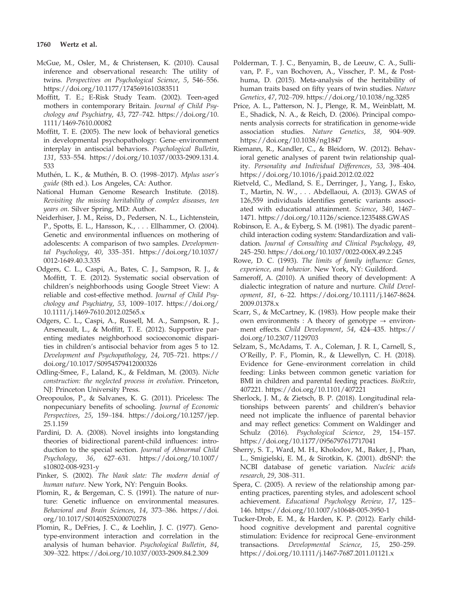#### 1760 Wertz et al.

- McGue, M., Osler, M., & Christensen, K. (2010). Causal inference and observational research: The utility of twins. Perspectives on Psychological Science, 5, 546–556. <https://doi.org/10.1177/1745691610383511>
- Moffitt, T. E.; E-Risk Study Team. (2002). Teen-aged mothers in contemporary Britain. Journal of Child Psychology and Psychiatry, 43, 727–742. [https://doi.org/10.](https://doi.org/10.1111/1469-7610.00082) [1111/1469-7610.00082](https://doi.org/10.1111/1469-7610.00082)
- Moffitt, T. E. (2005). The new look of behavioral genetics in developmental psychopathology: Gene–environment interplay in antisocial behaviors. Psychological Bulletin, 131, 533–554. [https://doi.org/10.1037/0033-2909.131.4.](https://doi.org/10.1037/0033-2909.131.4.533) [533](https://doi.org/10.1037/0033-2909.131.4.533)
- Muthén, L. K., & Muthén, B. O. (1998–2017). *Mplus user's* guide (8th ed.). Los Angeles, CA: Author.
- National Human Genome Research Institute. (2018). Revisiting the missing heritability of complex diseases, ten years on. Silver Spring, MD: Author.
- Neiderhiser, J. M., Reiss, D., Pedersen, N. L., Lichtenstein, P., Spotts, E. L., Hansson, K., . . . Ellhammer, O. (2004). Genetic and environmental influences on mothering of adolescents: A comparison of two samples. Developmental Psychology, 40, 335–351. [https://doi.org/10.1037/](https://doi.org/10.1037/0012-1649.40.3.335) [0012-1649.40.3.335](https://doi.org/10.1037/0012-1649.40.3.335)
- Odgers, C. L., Caspi, A., Bates, C. J., Sampson, R. J., & Moffitt, T. E. (2012). Systematic social observation of children's neighborhoods using Google Street View: A reliable and cost-effective method. Journal of Child Psychology and Psychiatry, 53, 1009–1017. [https://doi.org/](https://doi.org/10.1111/j.1469-7610.2012.02565.x) [10.1111/j.1469-7610.2012.02565.x](https://doi.org/10.1111/j.1469-7610.2012.02565.x)
- Odgers, C. L., Caspi, A., Russell, M. A., Sampson, R. J., Arseneault, L., & Moffitt, T. E. (2012). Supportive parenting mediates neighborhood socioeconomic disparities in children's antisocial behavior from ages 5 to 12. Development and Psychopathology, 24, 705–721. [https://](https://doi.org/10.1017/S0954579412000326) [doi.org/10.1017/S0954579412000326](https://doi.org/10.1017/S0954579412000326)
- Odling-Smee, F., Laland, K., & Feldman, M. (2003). Niche construction: the neglected process in evolution. Princeton, NJ: Princeton University Press.
- Oreopoulos, P., & Salvanes, K. G. (2011). Priceless: The nonpecuniary benefits of schooling. Journal of Economic Perspectives, 25, 159–184. [https://doi.org/10.1257/jep.](https://doi.org/10.1257/jep.25.1.159) [25.1.159](https://doi.org/10.1257/jep.25.1.159)
- Pardini, D. A. (2008). Novel insights into longstanding theories of bidirectional parent-child influences: introduction to the special section. Journal of Abnormal Child Psychology, 36, 627–631. [https://doi.org/10.1007/](https://doi.org/10.1007/s10802-008-9231-y) [s10802-008-9231-y](https://doi.org/10.1007/s10802-008-9231-y)
- Pinker, S. (2002). The blank slate: The modern denial of human nature. New York, NY: Penguin Books.
- Plomin, R., & Bergeman, C. S. (1991). The nature of nurture: Genetic influence on environmental measures. Behavioral and Brain Sciences, 14, 373–386. [https://doi.](https://doi.org/10.1017/S0140525X00070278) [org/10.1017/S0140525X00070278](https://doi.org/10.1017/S0140525X00070278)
- Plomin, R., DeFries, J. C., & Loehlin, J. C. (1977). Genotype-environment interaction and correlation in the analysis of human behavior. Psychological Bulletin, 84, 309–322.<https://doi.org/10.1037/0033-2909.84.2.309>
- Polderman, T. J. C., Benyamin, B., de Leeuw, C. A., Sullivan, P. F., van Bochoven, A., Visscher, P. M., & Posthuma, D. (2015). Meta-analysis of the heritability of human traits based on fifty years of twin studies. Nature Genetics, 47, 702–709.<https://doi.org/10.1038/ng.3285>
- Price, A. L., Patterson, N. J., Plenge, R. M., Weinblatt, M. E., Shadick, N. A., & Reich, D. (2006). Principal components analysis corrects for stratification in genome-wide association studies. Nature Genetics, 38, 904–909. <https://doi.org/10.1038/ng1847>
- Riemann, R., Kandler, C., & Bleidorn, W. (2012). Behavioral genetic analyses of parent twin relationship quality. Personality and Individual Differences, 53, 398–404. <https://doi.org/10.1016/j.paid.2012.02.022>
- Rietveld, C., Medland, S. E., Derringer, J., Yang, J., Esko, T., Martin, N. W., . . . Abdellaoui, A. (2013). GWAS of 126,559 individuals identifies genetic variants associated with educational attainment. Science, 340, 1467– 1471.<https://doi.org/10.1126/science.1235488.GWAS>
- Robinson, E. A., & Eyberg, S. M. (1981). The dyadic parent– child interaction coding system: Standardization and validation. Journal of Consulting and Clinical Psychology, 49, 245–250.<https://doi.org/10.1037/0022-006X.49.2.245>
- Rowe, D. C. (1993). The limits of family influence: Genes, experience, and behavior. New York, NY: Guildford.
- Sameroff, A. (2010). A unified theory of development: A dialectic integration of nature and nurture. Child Development, 81, 6–22. [https://doi.org/10.1111/j.1467-8624.](https://doi.org/10.1111/j.1467-8624.2009.01378.x) [2009.01378.x](https://doi.org/10.1111/j.1467-8624.2009.01378.x)
- Scarr, S., & McCartney, K. (1983). How people make their own environments : A theory of genotype  $\rightarrow$  environment effects. Child Development, 54, 424–435. [https://](https://doi.org/10.2307/1129703) [doi.org/10.2307/1129703](https://doi.org/10.2307/1129703)
- Selzam, S., McAdams, T. A., Coleman, J. R. I., Carnell, S., O'Reilly, P. F., Plomin, R., & Llewellyn, C. H. (2018). Evidence for Gene–environment correlation in child feeding: Links between common genetic variation for BMI in children and parental feeding practices. BioRxiv, 407221.<https://doi.org/10.1101/407221>
- Sherlock, J. M., & Zietsch, B. P. (2018). Longitudinal relationships between parents' and children's behavior need not implicate the influence of parental behavior and may reflect genetics: Comment on Waldinger and Schulz (2016). Psychological Science, 29, 154-157. <https://doi.org/10.1177/0956797617717041>
- Sherry, S. T., Ward, M. H., Kholodov, M., Baker, J., Phan, L., Smigielski, E. M., & Sirotkin, K. (2001). dbSNP: the NCBI database of genetic variation. Nucleic acids research, 29, 308–311.
- Spera, C. (2005). A review of the relationship among parenting practices, parenting styles, and adolescent school achievement. Educational Psychology Review, 17, 125– 146.<https://doi.org/10.1007/s10648-005-3950-1>
- Tucker-Drob, E. M., & Harden, K. P. (2012). Early childhood cognitive development and parental cognitive stimulation: Evidence for reciprocal Gene–environment transactions. Developmental Science, 15, 250–259. <https://doi.org/10.1111/j.1467-7687.2011.01121.x>